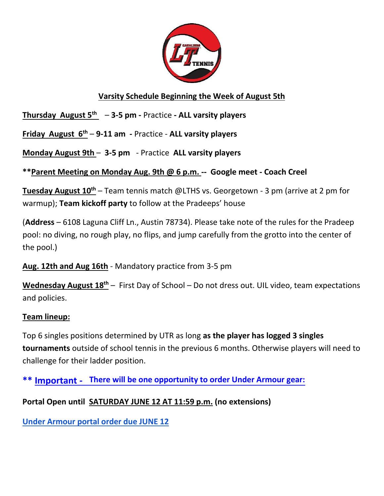

## **Varsity Schedule Beginning the Week of August 5th**

**Thursday August 5th** – **3-5 pm -** Practice **- ALL varsity players**

**Friday August 6th** – **9-11 am -** Practice - **ALL varsity players**

**Monday August 9th** – **3-5 pm** - Practice **ALL varsity players**

**\*\*Parent Meeting on Monday Aug. 9th @ 6 p.m. -- Google meet - Coach Creel**

**Tuesday August 10th** – Team tennis match @LTHS vs. Georgetown - 3 pm (arrive at 2 pm for warmup); **Team kickoff party** to follow at the Pradeeps' house

(**Address** – 6108 Laguna Cliff Ln., Austin 78734). Please take note of the rules for the Pradeep pool: no diving, no rough play, no flips, and jump carefully from the grotto into the center of the pool.)

**Aug. 12th and Aug 16th** - Mandatory practice from 3-5 pm

**Wednesday August 18th** – First Day of School – Do not dress out. UIL video, team expectations and policies.

## **Team lineup:**

Top 6 singles positions determined by UTR as long **as the player has logged 3 singles tournaments** outside of school tennis in the previous 6 months. Otherwise players will need to challenge for their ladder position.

**\*\* Important - There will be one opportunity to order Under Armour gear:**

**Portal Open until SATURDAY JUNE 12 AT 11:59 p.m. (no extensions)** 

**[Under Armour portal order due JUNE 12](https://drive.google.com/file/d/1mrrgtdKr125KhBdIsYkaJq50wlqJy7Ki/view?usp=sharing)**